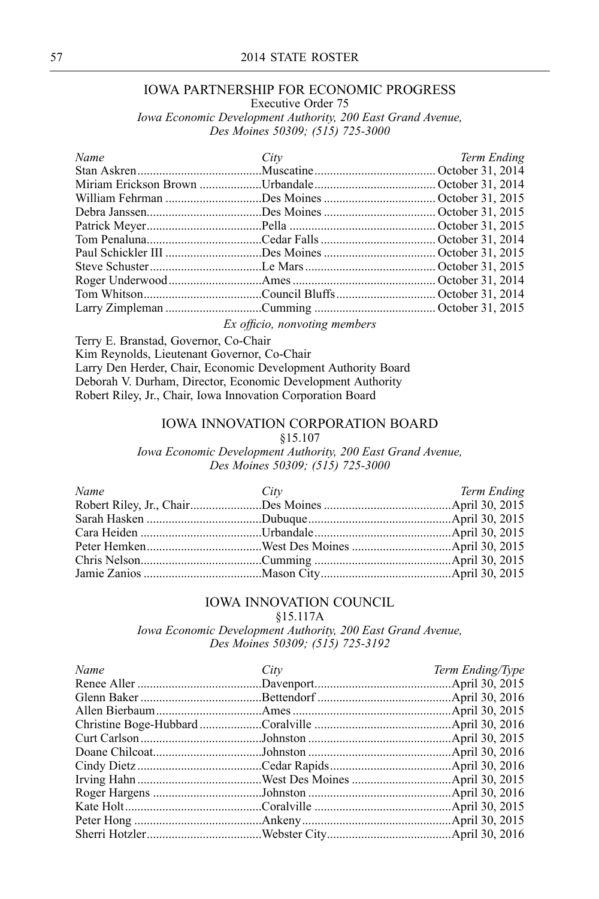# IOWA PARTNERSHIP FOR ECONOMIC PROGRESS

Executive Order <sup>75</sup>

*Iowa Economic Development Authority, <sup>200</sup> East Grand Avenue, Des Moines 50309; (515) 725-3000*

| Name | City                                                                                                                                                                                                                                 | Term Ending |
|------|--------------------------------------------------------------------------------------------------------------------------------------------------------------------------------------------------------------------------------------|-------------|
|      |                                                                                                                                                                                                                                      |             |
|      |                                                                                                                                                                                                                                      |             |
|      |                                                                                                                                                                                                                                      |             |
|      |                                                                                                                                                                                                                                      |             |
|      |                                                                                                                                                                                                                                      |             |
|      |                                                                                                                                                                                                                                      |             |
|      |                                                                                                                                                                                                                                      |             |
|      |                                                                                                                                                                                                                                      |             |
|      |                                                                                                                                                                                                                                      |             |
|      |                                                                                                                                                                                                                                      |             |
|      |                                                                                                                                                                                                                                      |             |
|      | $\blacksquare$ . The contract of the contract of the contract of the contract of the contract of the contract of the contract of the contract of the contract of the contract of the contract of the contract of the contract of the |             |

*Ex officio, nonvoting members*

Terry E. Branstad, Governor, Co-Chair Kim Reynolds, Lieutenant Governor, Co-Chair Larry Den Herder, Chair, Economic Development Authority Board Deborah V. Durham, Director, Economic Development Authority Robert Riley, Jr., Chair, Iowa Innovation Corporation Board

#### IOWA INNOVATION CORPORATION BOARD

#### §15.107

*Iowa Economic Development Authority, <sup>200</sup> East Grand Avenue, Des Moines 50309; (515) 725-3000*

| Name | City | Term Ending |
|------|------|-------------|
|      |      |             |
|      |      |             |
|      |      |             |
|      |      |             |
|      |      |             |
|      |      |             |
|      |      |             |

## IOWA INNOVATION COUNCIL

§15.117A

*Iowa Economic Development Authority, <sup>200</sup> East Grand Avenue, Des Moines 50309; (515) 725-3192*

| Name | City | Term Ending/Type |
|------|------|------------------|
|      |      |                  |
|      |      |                  |
|      |      |                  |
|      |      |                  |
|      |      |                  |
|      |      |                  |
|      |      |                  |
|      |      |                  |
|      |      |                  |
|      |      |                  |
|      |      |                  |
|      |      |                  |
|      |      |                  |